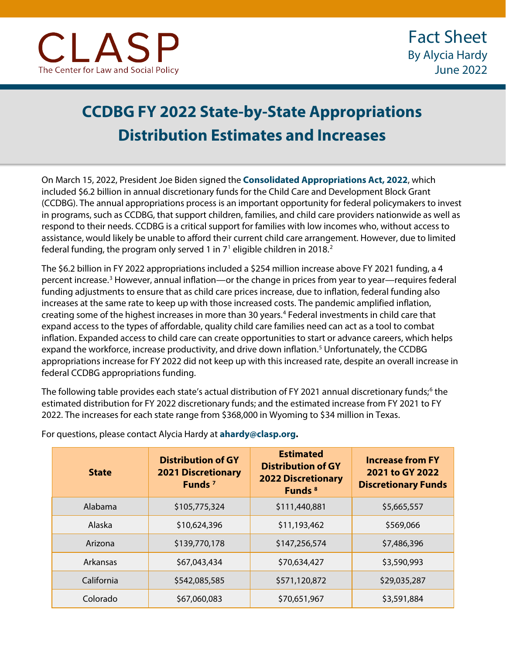## **CCDBG FY 2022 State-by-State Appropriations Distribution Estimates and Increases**

On March 15, 2022, President Joe Biden signed the **[Consolidated Appropriations Act, 2022](https://www.congress.gov/bill/117th-congress/house-bill/2471/text)**, which included \$6.2 billion in annual discretionary funds for the Child Care and Development Block Grant (CCDBG). The annual appropriations process is an important opportunity for federal policymakers to invest in programs, such as CCDBG, that support children, families, and child care providers nationwide as well as respond to their needs. CCDBG is a critical support for families with low incomes who, without access to assistance, would likely be unable to afford their current child care arrangement. However, due to limited federal funding, the program only served [1](#page-2-0) in  $7<sup>1</sup>$  eligible children in [2](#page-2-1)018.<sup>2</sup> j

The \$6.2 billion in FY 2022 appropriations included a \$254 million increase above FY 2021 funding, a 4 percent increase.[3](#page-3-0) However, annual inflation—or the change in prices from year to year—requires federal funding adjustments to ensure that as child care prices increase, due to inflation, federal funding also increases at the same rate to keep up with those increased costs. The pandemic amplified inflation, creating some of the highest increases in more than 30 years.[4](#page-3-1) Federal investments in child care that expand access to the types of affordable, quality child care families need can act as a tool to combat inflation. Expanded access to child care can create opportunities to start or advance careers, which helps expand the workforce, increase productivity, and drive down inflation.<sup>[5](#page-3-2)</sup> Unfortunately, the CCDBG appropriations increase for FY 2022 did not keep up with this increased rate, despite an overall increase in federal CCDBG appropriations funding.

The following table provides each state's actual distribution of FY 2021 annual discretionary funds;<sup>[6](#page-3-3)</sup> the estimated distribution for FY 2022 discretionary funds; and the estimated increase from FY 2021 to FY 2022. The increases for each state range from \$368,000 in Wyoming to \$34 million in Texas.

| <b>State</b> | <b>Distribution of GY</b><br><b>2021 Discretionary</b><br>Funds <sup>7</sup> | <b>Estimated</b><br><b>Distribution of GY</b><br><b>2022 Discretionary</b><br>Funds <sup>8</sup> | <b>Increase from FY</b><br>2021 to GY 2022<br><b>Discretionary Funds</b> |
|--------------|------------------------------------------------------------------------------|--------------------------------------------------------------------------------------------------|--------------------------------------------------------------------------|
| Alabama      | \$105,775,324                                                                | \$111,440,881                                                                                    | \$5,665,557                                                              |
| Alaska       | \$10,624,396                                                                 | \$11,193,462                                                                                     | \$569,066                                                                |
| Arizona      | \$139,770,178                                                                | \$147,256,574                                                                                    | \$7,486,396                                                              |
| Arkansas     | \$67,043,434                                                                 | \$70,634,427                                                                                     | \$3,590,993                                                              |
| California   | \$542,085,585                                                                | \$571,120,872                                                                                    | \$29,035,287                                                             |
| Colorado     | \$67,060,083                                                                 | \$70,651,967                                                                                     | \$3,591,884                                                              |

For questions, please contact Alycia Hardy at **[ahardy@clasp.org.](mailto:ahardy@clasp.org)**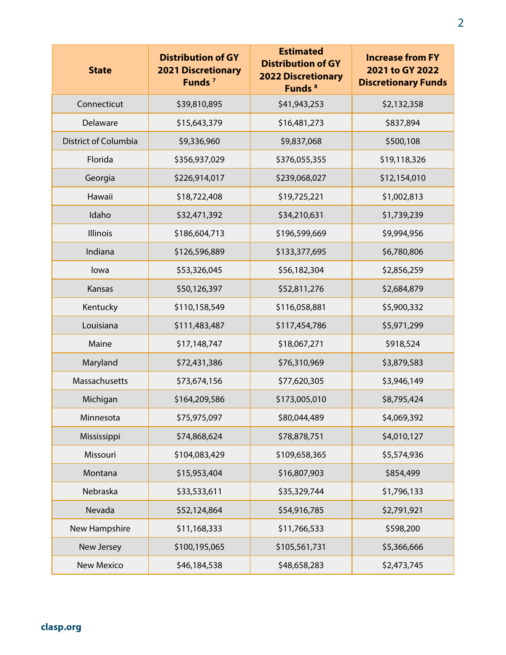| <b>State</b>         | <b>Distribution of GY</b><br><b>2021 Discretionary</b><br>Funds <sup>7</sup> | <b>Estimated</b><br><b>Distribution of GY</b><br><b>2022 Discretionary</b><br>Funds <sup>8</sup> | <b>Increase from FY</b><br>2021 to GY 2022<br><b>Discretionary Funds</b> |
|----------------------|------------------------------------------------------------------------------|--------------------------------------------------------------------------------------------------|--------------------------------------------------------------------------|
| Connecticut          | \$39,810,895                                                                 | \$41,943,253                                                                                     | \$2,132,358                                                              |
| Delaware             | \$15,643,379                                                                 | \$16,481,273                                                                                     | \$837,894                                                                |
| District of Columbia | \$9,336,960                                                                  | \$9,837,068                                                                                      | \$500,108                                                                |
| Florida              | \$356,937,029                                                                | \$376,055,355                                                                                    | \$19,118,326                                                             |
| Georgia              | \$226,914,017                                                                | \$239,068,027                                                                                    | \$12,154,010                                                             |
| Hawaii               | \$18,722,408                                                                 | \$19,725,221                                                                                     | \$1,002,813                                                              |
| Idaho                | \$32,471,392                                                                 | \$34,210,631                                                                                     | \$1,739,239                                                              |
| Illinois             | \$186,604,713                                                                | \$196,599,669                                                                                    | \$9,994,956                                                              |
| Indiana              | \$126,596,889                                                                | \$133,377,695                                                                                    | \$6,780,806                                                              |
| lowa                 | \$53,326,045                                                                 | \$56,182,304                                                                                     | \$2,856,259                                                              |
| Kansas               | \$50,126,397                                                                 | \$52,811,276                                                                                     | \$2,684,879                                                              |
| Kentucky             | \$110,158,549                                                                | \$116,058,881                                                                                    | \$5,900,332                                                              |
| Louisiana            | \$111,483,487                                                                | \$117,454,786                                                                                    | \$5,971,299                                                              |
| Maine                | \$17,148,747                                                                 | \$18,067,271                                                                                     | \$918,524                                                                |
| Maryland             | \$72,431,386                                                                 | \$76,310,969                                                                                     | \$3,879,583                                                              |
| Massachusetts        | \$73,674,156                                                                 | \$77,620,305                                                                                     | \$3,946,149                                                              |
| Michigan             | \$164,209,586                                                                | \$173,005,010                                                                                    | \$8,795,424                                                              |
| Minnesota            | \$75,975,097                                                                 | \$80,044,489                                                                                     | \$4,069,392                                                              |
| Mississippi          | \$74,868,624                                                                 | \$78,878,751                                                                                     | \$4,010,127                                                              |
| Missouri             | \$104,083,429                                                                | \$109,658,365                                                                                    | \$5,574,936                                                              |
| Montana              | \$15,953,404                                                                 | \$16,807,903                                                                                     | \$854,499                                                                |
| Nebraska             | \$33,533,611                                                                 | \$35,329,744                                                                                     | \$1,796,133                                                              |
| Nevada               | \$52,124,864                                                                 | \$54,916,785                                                                                     | \$2,791,921                                                              |
| New Hampshire        | \$11,168,333                                                                 | \$11,766,533                                                                                     | \$598,200                                                                |
| New Jersey           | \$100,195,065                                                                | \$105,561,731                                                                                    | \$5,366,666                                                              |
| <b>New Mexico</b>    | \$46,184,538                                                                 | \$48,658,283                                                                                     | \$2,473,745                                                              |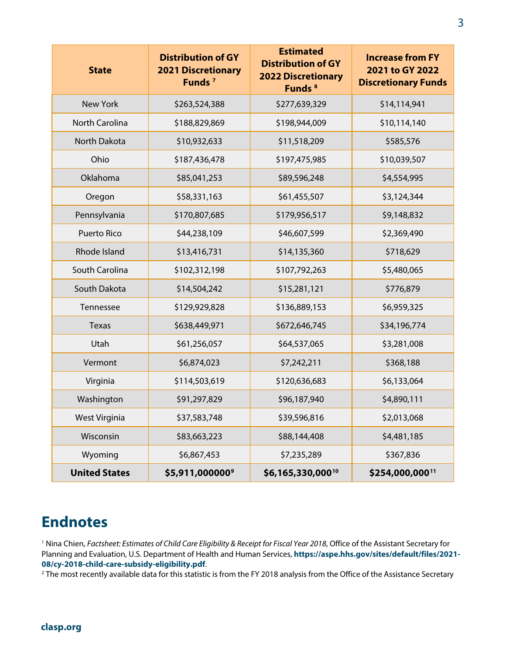| <b>State</b>          | <b>Distribution of GY</b><br><b>2021 Discretionary</b><br>Funds <sup>7</sup> | <b>Estimated</b><br><b>Distribution of GY</b><br><b>2022 Discretionary</b><br>Funds <sup>8</sup> | <b>Increase from FY</b><br>2021 to GY 2022<br><b>Discretionary Funds</b> |
|-----------------------|------------------------------------------------------------------------------|--------------------------------------------------------------------------------------------------|--------------------------------------------------------------------------|
| <b>New York</b>       | \$263,524,388                                                                | \$277,639,329                                                                                    | \$14,114,941                                                             |
| <b>North Carolina</b> | \$188,829,869                                                                | \$198,944,009                                                                                    | \$10,114,140                                                             |
| <b>North Dakota</b>   | \$10,932,633                                                                 | \$11,518,209                                                                                     | \$585,576                                                                |
| Ohio                  | \$187,436,478                                                                | \$197,475,985                                                                                    | \$10,039,507                                                             |
| Oklahoma              | \$85,041,253                                                                 | \$89,596,248                                                                                     | \$4,554,995                                                              |
| Oregon                | \$58,331,163                                                                 | \$61,455,507                                                                                     | \$3,124,344                                                              |
| Pennsylvania          | \$170,807,685                                                                | \$179,956,517                                                                                    | \$9,148,832                                                              |
| <b>Puerto Rico</b>    | \$44,238,109                                                                 | \$46,607,599                                                                                     | \$2,369,490                                                              |
| Rhode Island          | \$13,416,731                                                                 | \$14,135,360                                                                                     | \$718,629                                                                |
| South Carolina        | \$102,312,198                                                                | \$107,792,263                                                                                    | \$5,480,065                                                              |
| South Dakota          | \$14,504,242                                                                 | \$15,281,121                                                                                     | \$776,879                                                                |
| Tennessee             | \$129,929,828                                                                | \$136,889,153                                                                                    | \$6,959,325                                                              |
| Texas                 | \$638,449,971                                                                | \$672,646,745                                                                                    | \$34,196,774                                                             |
| Utah                  | \$61,256,057                                                                 | \$64,537,065                                                                                     | \$3,281,008                                                              |
| Vermont               | \$6,874,023                                                                  | \$7,242,211                                                                                      | \$368,188                                                                |
| Virginia              | \$114,503,619                                                                | \$120,636,683                                                                                    | \$6,133,064                                                              |
| Washington            | \$91,297,829                                                                 | \$96,187,940                                                                                     | \$4,890,111                                                              |
| <b>West Virginia</b>  | \$37,583,748                                                                 | \$39,596,816                                                                                     | \$2,013,068                                                              |
| Wisconsin             | \$83,663,223                                                                 | \$88,144,408                                                                                     | \$4,481,185                                                              |
| Wyoming               | \$6,867,453                                                                  | \$7,235,289                                                                                      | \$367,836                                                                |
| <b>United States</b>  | \$5,911,000000°                                                              | \$6,165,330,00010                                                                                | \$254,000,00011                                                          |

## <span id="page-2-0"></span>**Endnotes**

<sup>1</sup> Nina Chien, *Factsheet: Estimates of Child Care Eligibility & Receipt for Fiscal Year 2018*, Office of the Assistant Secretary for Planning and Evaluation, U.S. Department of Health and Human Services, **[https://aspe.hhs.gov/sites/default/files/2021-](https://aspe.hhs.gov/sites/default/files/2021-08/cy-2018-child-care-subsidy-eligibility.pdf) 08/cy-2018-child-care-subsidy-eligibility.pdf**.<br><sup>2</sup> The most recently available data for this statistic is from the FY 2018 analysis from the Office of the Assistance Secretary

<span id="page-2-1"></span>

## **clasp.org**